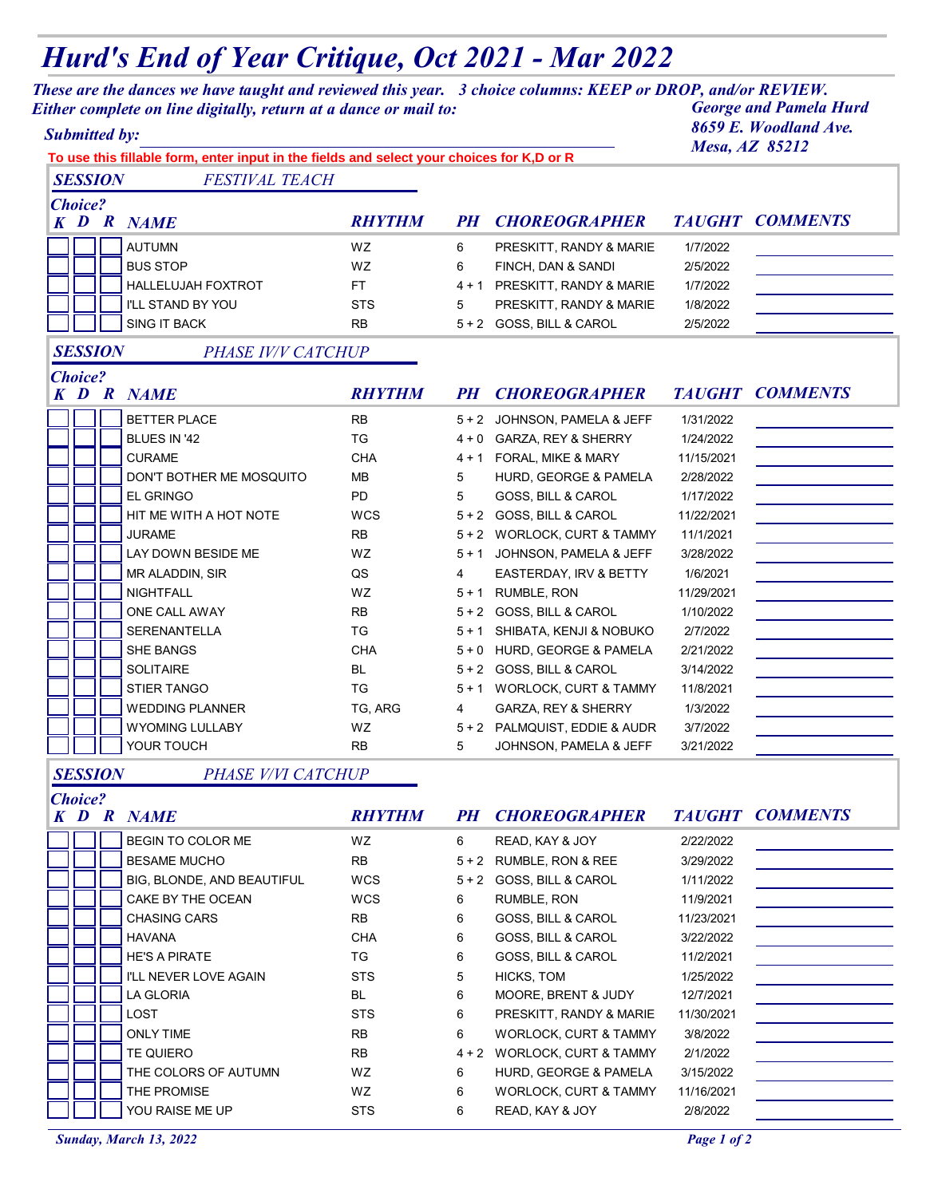## *Hurd's End of Year Critique, Oct 2021 - Mar 2022*

*These are the dances we have taught and reviewed this year. 3 choice columns: KEEP or DROP, and/or REVIEW. Either complete on line digitally, return at a dance or mail to:* 

| <b>Submitted by:</b><br>To use this fillable form, enter input in the fields and select your choices for K,D or R |  |                          |                |           |                               |            | 8659 E. Woodland Ave.<br>Mesa, AZ 85212 |  |
|-------------------------------------------------------------------------------------------------------------------|--|--------------------------|----------------|-----------|-------------------------------|------------|-----------------------------------------|--|
| <b>SESSION</b>                                                                                                    |  | <b>FESTIVAL TEACH</b>    |                |           |                               |            |                                         |  |
| <b>Choice?</b>                                                                                                    |  |                          |                |           |                               |            |                                         |  |
|                                                                                                                   |  | <b>K D R NAME</b>        | <b>RHYTHM</b>  | <i>PH</i> | <b>CHOREOGRAPHER</b>          |            | <b>TAUGHT COMMENTS</b>                  |  |
|                                                                                                                   |  | <b>AUTUMN</b>            | <b>WZ</b>      | 6         | PRESKITT, RANDY & MARIE       | 1/7/2022   |                                         |  |
|                                                                                                                   |  | <b>BUS STOP</b>          | WZ.            | 6         | FINCH, DAN & SANDI            | 2/5/2022   |                                         |  |
|                                                                                                                   |  | HALLELUJAH FOXTROT       | FT.            |           | 4 + 1 PRESKITT, RANDY & MARIE | 1/7/2022   |                                         |  |
|                                                                                                                   |  | I'LL STAND BY YOU        | <b>STS</b>     | 5         | PRESKITT, RANDY & MARIE       | 1/8/2022   |                                         |  |
|                                                                                                                   |  | <b>SING IT BACK</b>      | <b>RB</b>      |           | 5 + 2 GOSS, BILL & CAROL      | 2/5/2022   |                                         |  |
| <b>SESSION</b>                                                                                                    |  | PHASE IV/V CATCHUP       |                |           |                               |            |                                         |  |
| <b>Choice?</b>                                                                                                    |  |                          |                |           |                               |            |                                         |  |
|                                                                                                                   |  | <b>K D R NAME</b>        | <b>RHYTHM</b>  | <i>PH</i> | <b>CHOREOGRAPHER</b>          |            | <b>TAUGHT COMMENTS</b>                  |  |
|                                                                                                                   |  | <b>BETTER PLACE</b>      | <b>RB</b>      |           | 5 + 2 JOHNSON, PAMELA & JEFF  | 1/31/2022  |                                         |  |
|                                                                                                                   |  | BLUES IN '42             | <b>TG</b>      |           | 4 + 0 GARZA, REY & SHERRY     | 1/24/2022  |                                         |  |
|                                                                                                                   |  | <b>CURAME</b>            | <b>CHA</b>     |           | 4 + 1 FORAL, MIKE & MARY      | 11/15/2021 |                                         |  |
|                                                                                                                   |  | DON'T BOTHER ME MOSQUITO | <b>MB</b>      | 5         | HURD, GEORGE & PAMELA         | 2/28/2022  |                                         |  |
|                                                                                                                   |  | <b>EL GRINGO</b>         | <b>PD</b>      | 5         | GOSS, BILL & CAROL            | 1/17/2022  |                                         |  |
|                                                                                                                   |  | HIT ME WITH A HOT NOTE   | <b>WCS</b>     |           | 5 + 2 GOSS, BILL & CAROL      | 11/22/2021 |                                         |  |
|                                                                                                                   |  | <b>JURAME</b>            | <b>RB</b>      |           | 5 + 2 WORLOCK, CURT & TAMMY   | 11/1/2021  |                                         |  |
|                                                                                                                   |  | LAY DOWN BESIDE ME       | WZ.            | $5 + 1$   | JOHNSON, PAMELA & JEFF        | 3/28/2022  |                                         |  |
|                                                                                                                   |  | MR ALADDIN, SIR          | QS             | 4         | EASTERDAY, IRV & BETTY        | 1/6/2021   |                                         |  |
|                                                                                                                   |  | <b>NIGHTFALL</b>         | WZ.            |           | 5 + 1 RUMBLE, RON             | 11/29/2021 |                                         |  |
|                                                                                                                   |  | ONE CALL AWAY            | <b>RB</b>      |           | 5 + 2 GOSS, BILL & CAROL      | 1/10/2022  |                                         |  |
|                                                                                                                   |  | SERENANTELLA             | TG             |           | 5 + 1 SHIBATA, KENJI & NOBUKO | 2/7/2022   |                                         |  |
|                                                                                                                   |  | SHE BANGS                | CHA            |           | 5 + 0 HURD, GEORGE & PAMELA   | 2/21/2022  |                                         |  |
|                                                                                                                   |  | <b>SOLITAIRE</b>         | BL             |           | 5 + 2 GOSS, BILL & CAROL      | 3/14/2022  |                                         |  |
|                                                                                                                   |  | <b>STIER TANGO</b>       | TG             |           | 5 + 1 WORLOCK, CURT & TAMMY   | 11/8/2021  |                                         |  |
|                                                                                                                   |  | <b>WEDDING PLANNER</b>   | TG, ARG        | 4         | GARZA, REY & SHERRY           | 1/3/2022   |                                         |  |
|                                                                                                                   |  | <b>WYOMING LULLABY</b>   | WZ             |           | 5 + 2 PALMQUIST, EDDIE & AUDR | 3/7/2022   |                                         |  |
|                                                                                                                   |  | YOUR TOUCH               | <b>RB</b>      | 5         | JOHNSON, PAMELA & JEFF        | 3/21/2022  |                                         |  |
| <b>SESSION</b>                                                                                                    |  | PHASE V/VI CATCHUP       |                |           |                               |            |                                         |  |
| <b>Choice?</b>                                                                                                    |  | <b>K D R NAME</b>        | <b>RHYTHM</b>  | <i>PH</i> | <b>CHOREOGRAPHER</b>          |            | <b>TAUGHT COMMENTS</b>                  |  |
|                                                                                                                   |  |                          |                |           |                               |            |                                         |  |
|                                                                                                                   |  | BEGIN TO COLOR ME        | WZ             | 6         | READ, KAY & JOY               | 2/22/2022  |                                         |  |
|                                                                                                                   |  | <b>BESAME MUCHO</b>      | R <sub>B</sub> |           | $5+2$ RUMBLE RON & RFF        | 3/29/2022  |                                         |  |

|  | <b>BESAME MUCHO</b>          | <b>RB</b>  |   | 5 + 2 RUMBLE, RON & REE          | 3/29/2022  |  |
|--|------------------------------|------------|---|----------------------------------|------------|--|
|  | BIG, BLONDE, AND BEAUTIFUL   | <b>WCS</b> |   | 5 + 2 GOSS, BILL & CAROL         | 1/11/2022  |  |
|  | CAKE BY THE OCEAN            | <b>WCS</b> | 6 | RUMBLE, RON                      | 11/9/2021  |  |
|  | <b>CHASING CARS</b>          | <b>RB</b>  | 6 | <b>GOSS. BILL &amp; CAROL</b>    | 11/23/2021 |  |
|  | <b>HAVANA</b>                | <b>CHA</b> | 6 | GOSS, BILL & CAROL               | 3/22/2022  |  |
|  | <b>HE'S A PIRATE</b>         | TG         | 6 | <b>GOSS, BILL &amp; CAROL</b>    | 11/2/2021  |  |
|  | <b>I'LL NEVER LOVE AGAIN</b> | <b>STS</b> | 5 | HICKS, TOM                       | 1/25/2022  |  |
|  | LA GLORIA                    | BL.        | 6 | MOORE, BRENT & JUDY              | 12/7/2021  |  |
|  | <b>LOST</b>                  | <b>STS</b> | 6 | PRESKITT, RANDY & MARIE          | 11/30/2021 |  |
|  | <b>ONLY TIME</b>             | <b>RB</b>  | 6 | <b>WORLOCK, CURT &amp; TAMMY</b> | 3/8/2022   |  |
|  | <b>TE QUIERO</b>             | <b>RB</b>  |   | 4 + 2 WORLOCK, CURT & TAMMY      | 2/1/2022   |  |
|  | THE COLORS OF AUTUMN         | WZ.        | 6 | HURD, GEORGE & PAMELA            | 3/15/2022  |  |
|  | THE PROMISE                  | WZ         | 6 | <b>WORLOCK, CURT &amp; TAMMY</b> | 11/16/2021 |  |
|  | YOU RAISE ME UP              | <b>STS</b> | 6 | READ, KAY & JOY                  | 2/8/2022   |  |
|  |                              |            |   |                                  |            |  |